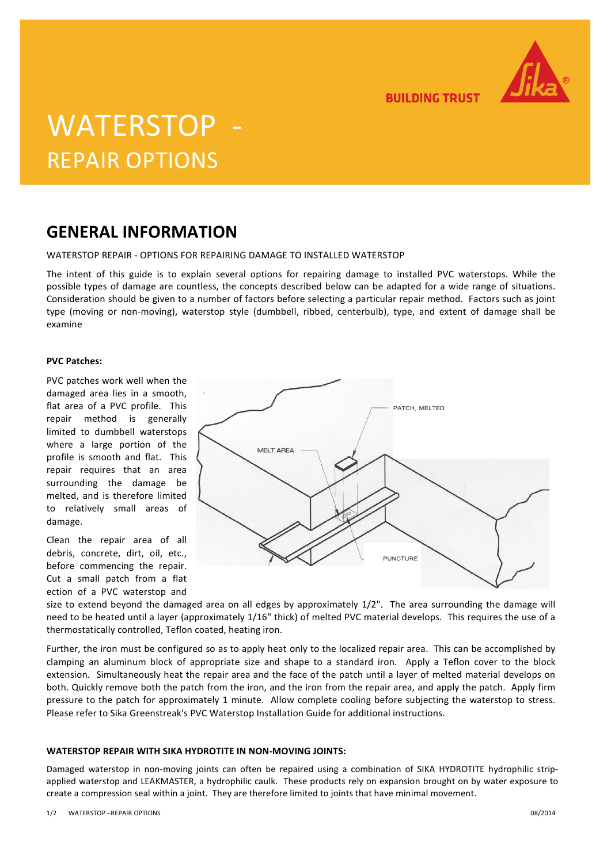

**BUILDING TRUST** 

# WATERSTOP REPAIR OPTIONS

### **GENERAL INFORMATION**

WATERSTOP REPAIR - OPTIONS FOR REPAIRING DAMAGE TO INSTALLED WATERSTOP

The intent of this guide is to explain several options for repairing damage to installed PVC waterstops. While the possible types of damage are countless, the concepts described below can be adapted for a wide range of situations. Consideration should be given to a number of factors before selecting a particular repair method. Factors such as joint type (moving or non-moving), waterstop style (dumbbell, ribbed, centerbulb), type, and extent of damage shall be examine

#### **PVC Patches:**

PVC patches work well when the damaged area lies in a smooth, flat area of a PVC profile. This repair method is generally limited to dumbbell waterstops where a large portion of the profile is smooth and flat. This repair requires that an area surrounding the damage be melted, and is therefore limited to relatively small areas of damage.

Clean the repair area of all debris, concrete, dirt, oil, etc., before commencing the repair. Cut a small patch from a flat ection of a PVC waterstop and



size to extend beyond the damaged area on all edges by approximately 1/2". The area surrounding the damage will need to be heated until a layer (approximately 1/16" thick) of melted PVC material develops. This requires the use of a thermostatically controlled, Teflon coated, heating iron.

Further, the iron must be configured so as to apply heat only to the localized repair area. This can be accomplished by clamping an aluminum block of appropriate size and shape to a standard iron. Apply a Teflon cover to the block extension. Simultaneously heat the repair area and the face of the patch until a layer of melted material develops on both. Quickly remove both the patch from the iron, and the iron from the repair area, and apply the patch. Apply firm pressure to the patch for approximately 1 minute. Allow complete cooling before subjecting the waterstop to stress. Please refer to Sika Greenstreak's PVC Waterstop Installation Guide for additional instructions.

### **WATERSTOP REPAIR WITH SIKA HYDROTITE IN NON-MOVING JOINTS:**

Damaged waterstop in non-moving joints can often be repaired using a combination of SIKA HYDROTITE hydrophilic stripapplied waterstop and LEAKMASTER, a hydrophilic caulk. These products rely on expansion brought on by water exposure to create a compression seal within a joint. They are therefore limited to joints that have minimal movement.